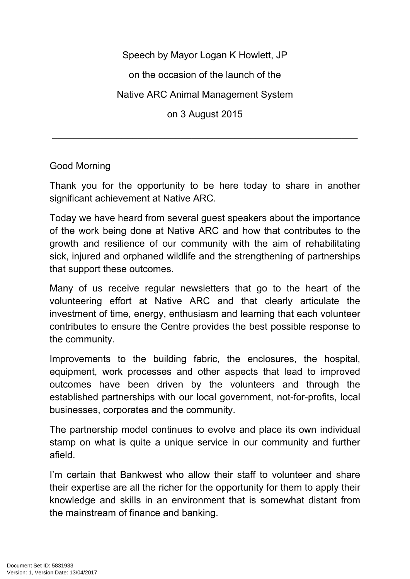Speech by Mayor Logan K Howlett, JP

on the occasion of the launch of the

Native ARC Animal Management System

on 3 August 2015

\_\_\_\_\_\_\_\_\_\_\_\_\_\_\_\_\_\_\_\_\_\_\_\_\_\_\_\_\_\_\_\_\_\_\_\_\_\_\_\_\_\_\_\_\_\_\_\_\_\_\_\_\_\_\_\_\_

## Good Morning

Thank you for the opportunity to be here today to share in another significant achievement at Native ARC.

Today we have heard from several guest speakers about the importance of the work being done at Native ARC and how that contributes to the growth and resilience of our community with the aim of rehabilitating sick, injured and orphaned wildlife and the strengthening of partnerships that support these outcomes.

Many of us receive regular newsletters that go to the heart of the volunteering effort at Native ARC and that clearly articulate the investment of time, energy, enthusiasm and learning that each volunteer contributes to ensure the Centre provides the best possible response to the community.

Improvements to the building fabric, the enclosures, the hospital, equipment, work processes and other aspects that lead to improved outcomes have been driven by the volunteers and through the established partnerships with our local government, not-for-profits, local businesses, corporates and the community.

The partnership model continues to evolve and place its own individual stamp on what is quite a unique service in our community and further afield.

I'm certain that Bankwest who allow their staff to volunteer and share their expertise are all the richer for the opportunity for them to apply their knowledge and skills in an environment that is somewhat distant from the mainstream of finance and banking.